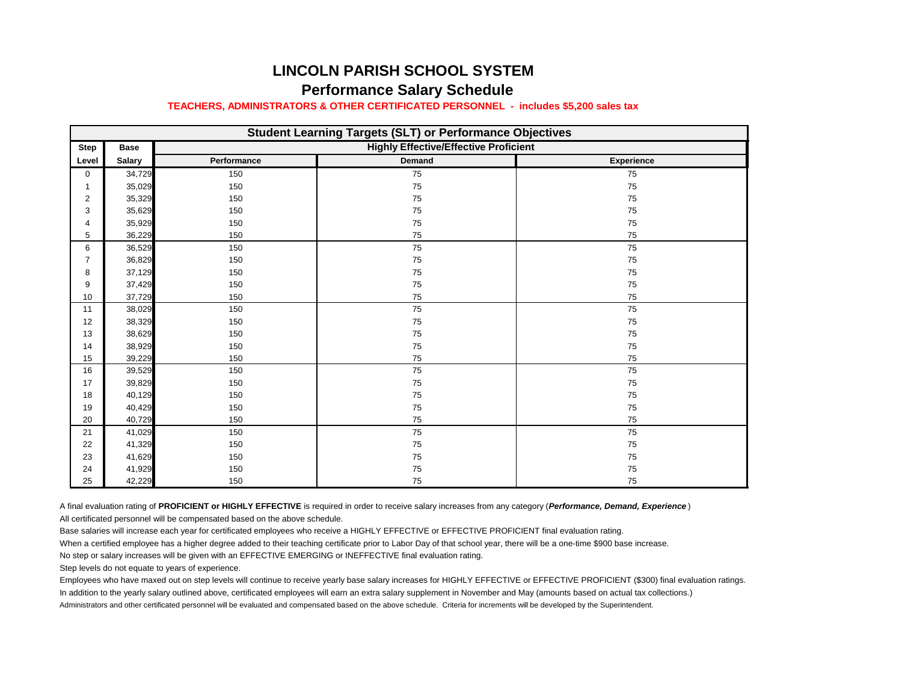## **LINCOLN PARISH SCHOOL SYSTEM Performance Salary Schedule**

## **TEACHERS, ADMINISTRATORS & OTHER CERTIFICATED PERSONNEL - includes \$5,200 sales tax**

| <b>Student Learning Targets (SLT) or Performance Objectives</b> |               |                                              |        |                   |
|-----------------------------------------------------------------|---------------|----------------------------------------------|--------|-------------------|
| <b>Step</b>                                                     | <b>Base</b>   | <b>Highly Effective/Effective Proficient</b> |        |                   |
| Level                                                           | <b>Salary</b> | Performance                                  | Demand | <b>Experience</b> |
| $\mathbf 0$                                                     | 34,729        | 150                                          | 75     | 75                |
| 1                                                               | 35,029        | 150                                          | 75     | 75                |
| 2                                                               | 35,329        | 150                                          | 75     | 75                |
| 3                                                               | 35,629        | 150                                          | 75     | 75                |
| 4                                                               | 35,929        | 150                                          | 75     | 75                |
| 5                                                               | 36,229        | 150                                          | 75     | 75                |
| 6                                                               | 36,529        | 150                                          | 75     | 75                |
| $\overline{7}$                                                  | 36,829        | 150                                          | 75     | 75                |
| 8                                                               | 37,129        | 150                                          | 75     | 75                |
| 9                                                               | 37,429        | 150                                          | 75     | 75                |
| 10                                                              | 37,729        | 150                                          | 75     | 75                |
| 11                                                              | 38,029        | 150                                          | 75     | 75                |
| 12                                                              | 38,329        | 150                                          | 75     | 75                |
| 13                                                              | 38,629        | 150                                          | 75     | 75                |
| 14                                                              | 38,929        | 150                                          | 75     | 75                |
| 15                                                              | 39,229        | 150                                          | 75     | 75                |
| 16                                                              | 39,529        | 150                                          | 75     | 75                |
| 17                                                              | 39,829        | 150                                          | 75     | 75                |
| 18                                                              | 40,129        | 150                                          | 75     | 75                |
| 19                                                              | 40,429        | 150                                          | 75     | 75                |
| 20                                                              | 40,729        | 150                                          | 75     | 75                |
| 21                                                              | 41,029        | 150                                          | 75     | 75                |
| 22                                                              | 41,329        | 150                                          | 75     | 75                |
| 23                                                              | 41,629        | 150                                          | 75     | 75                |
| 24                                                              | 41,929        | 150                                          | 75     | 75                |
| 25                                                              | 42,229        | 150                                          | 75     | 75                |

A final evaluation rating of **PROFICIENT or HIGHLY EFFECTIVE** is required in order to receive salary increases from any category (*Performance, Demand, Experience* )

All certificated personnel will be compensated based on the above schedule.

Base salaries will increase each year for certificated employees who receive a HIGHLY EFFECTIVE or EFFECTIVE PROFICIENT final evaluation rating.

When a certified employee has a higher degree added to their teaching certificate prior to Labor Day of that school year, there will be a one-time \$900 base increase.

No step or salary increases will be given with an EFFECTIVE EMERGING or INEFFECTIVE final evaluation rating.

Step levels do not equate to years of experience.

Employees who have maxed out on step levels will continue to receive yearly base salary increases for HIGHLY EFFECTIVE or EFFECTIVE PROFICIENT (\$300) final evaluation ratings. In addition to the yearly salary outlined above, certificated employees will earn an extra salary supplement in November and May (amounts based on actual tax collections.) Administrators and other certificated personnel will be evaluated and compensated based on the above schedule. Criteria for increments will be developed by the Superintendent.